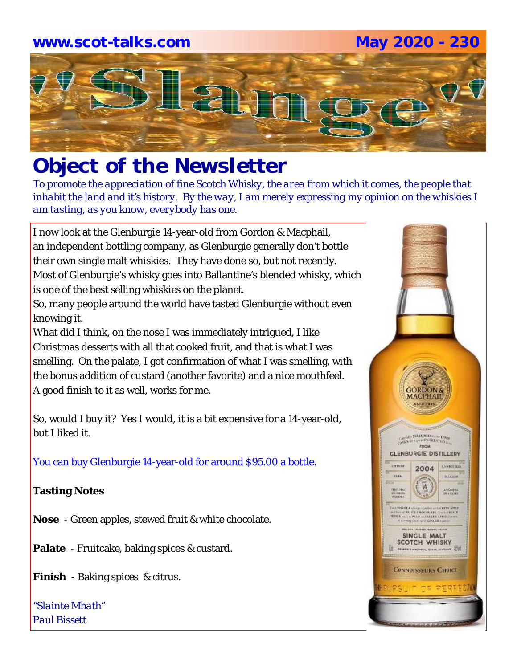# **www.scot-talks.com May 2020 - 230**Laj

## *Object of the Newsletter*

*To promote the appreciation of fine Scotch Whisky, the area from which it comes, the people that inhabit the land and it's history. By the way, I am merely expressing my opinion on the whiskies I am tasting, as you know, everybody has one.* 

I now look at the Glenburgie 14-year-old from Gordon & Macphail, an independent bottling company, as Glenburgie generally don't bottle their own single malt whiskies. They have done so, but not recently. Most of Glenburgie's whisky goes into Ballantine's blended whisky, which is one of the best selling whiskies on the planet.

So, many people around the world have tasted Glenburgie without even knowing it.

What did I think, on the nose I was immediately intrigued, I like Christmas desserts with all that cooked fruit, and that is what I was smelling. On the palate, I got confirmation of what I was smelling, with the bonus addition of custard (another favorite) and a nice mouthfeel. A good finish to it as well, works for me.

So, would I buy it? Yes I would, it is a bit expensive for a 14-year-old, but I liked it.

You can buy Glenburgie 14-year-old for around \$95.00 a bottle.

#### **Tasting Notes**

**Nose** - Green apples, stewed fruit & white chocolate.

**Palate** - Fruitcake, baking spices & custard.

**Finish** - Baking spices & citrus.

*"Slainte Mhath" Paul Bissett*

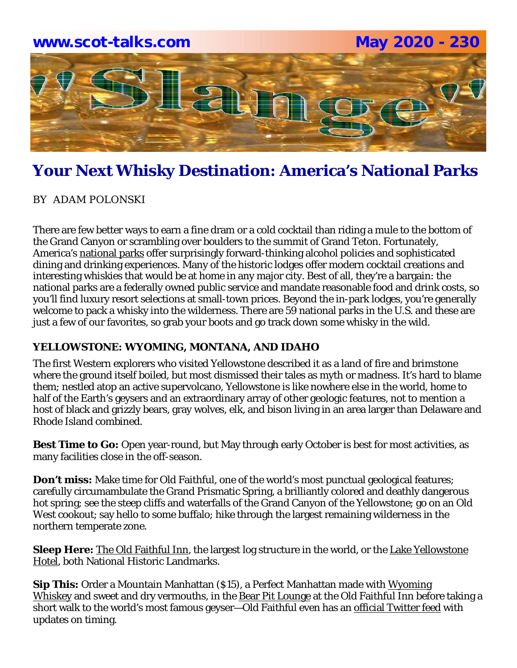

BY ADAM POLONSKI

There are few better ways to earn a fine dram or a cold cocktail than riding a mule to the bottom of the Grand Canyon or scrambling over boulders to the summit of Grand Teton. Fortunately, America's national parks offer surprisingly forward-thinking alcohol policies and sophisticated dining and drinking experiences. Many of the historic lodges offer modern cocktail creations and interesting whiskies that would be at home in any major city. Best of all, they're a bargain: the national parks are a federally owned public service and mandate reasonable food and drink costs, so you'll find luxury resort selections at small-town prices. Beyond the in-park lodges, you're generally welcome to pack a whisky into the wilderness. There are 59 national parks in the U.S. and these are just a few of our favorites, so grab your boots and go track down some whisky in the wild.

#### **YELLOWSTONE: WYOMING, MONTANA, AND IDAHO**

The first Western explorers who visited Yellowstone described it as a land of fire and brimstone where the ground itself boiled, but most dismissed their tales as myth or madness. It's hard to blame them; nestled atop an active supervolcano, Yellowstone is like nowhere else in the world, home to half of the Earth's geysers and an extraordinary array of other geologic features, not to mention a host of black and grizzly bears, gray wolves, elk, and bison living in an area larger than Delaware and Rhode Island combined.

**Best Time to Go:** Open year-round, but May through early October is best for most activities, as many facilities close in the off-season.

**Don't miss:** Make time for Old Faithful, one of the world's most punctual geological features; carefully circumambulate the Grand Prismatic Spring, a brilliantly colored and deathly dangerous hot spring; see the steep cliffs and waterfalls of the Grand Canyon of the Yellowstone; go on an Old West cookout; say hello to some buffalo; hike through the largest remaining wilderness in the northern temperate zone.

**Sleep Here:** The Old Faithful Inn, the largest log structure in the world, or the Lake Yellowstone Hotel, both National Historic Landmarks.

**Sip This:** Order a Mountain Manhattan (\$15), a Perfect Manhattan made with Wyoming Whiskey and sweet and dry vermouths, in the Bear Pit Lounge at the Old Faithful Inn before taking a short walk to the world's most famous geyser—Old Faithful even has an official Twitter feed with updates on timing.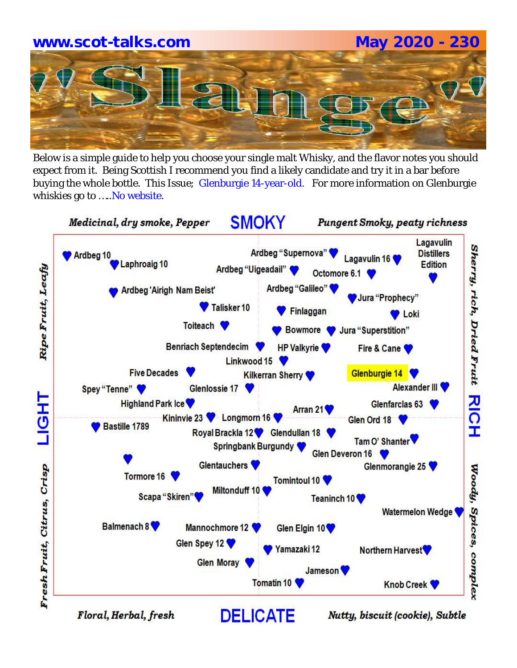# **www.scot-talks.com May 2020 - 230**

Below is a simple guide to help you choose your single malt Whisky, and the flavor notes you should expect from it. Being Scottish I recommend you find a likely candidate and try it in a bar before buying the whole bottle. This Issue; Glenburgie 14-year-old. For more information on Glenburgie whiskies go to ..... No website.

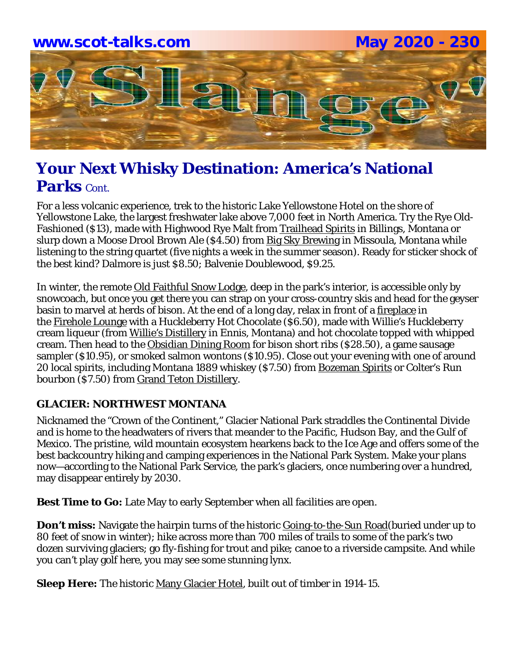

For a less volcanic experience, trek to the historic Lake Yellowstone Hotel on the shore of Yellowstone Lake, the largest freshwater lake above 7,000 feet in North America. Try the Rye Old-Fashioned (\$13), made with Highwood Rye Malt from Trailhead Spirits in Billings, Montana or slurp down a Moose Drool Brown Ale (\$4.50) from Big Sky Brewing in Missoula, Montana while listening to the string quartet (five nights a week in the summer season). Ready for sticker shock of the best kind? Dalmore is just \$8.50; Balvenie Doublewood, \$9.25.

In winter, the remote Old Faithful Snow Lodge, deep in the park's interior, is accessible only by snowcoach, but once you get there you can strap on your cross-country skis and head for the geyser basin to marvel at herds of bison. At the end of a long day, relax in front of a fireplace in the Firehole Lounge with a Huckleberry Hot Chocolate (\$6.50), made with Willie's Huckleberry cream liqueur (from Willie's Distillery in Ennis, Montana) and hot chocolate topped with whipped cream. Then head to the Obsidian Dining Room for bison short ribs (\$28.50), a game sausage sampler (\$10.95), or smoked salmon wontons (\$10.95). Close out your evening with one of around 20 local spirits, including Montana 1889 whiskey (\$7.50) from Bozeman Spirits or Colter's Run bourbon (\$7.50) from Grand Teton Distillery.

#### **GLACIER: NORTHWEST MONTANA**

Nicknamed the "Crown of the Continent," Glacier National Park straddles the Continental Divide and is home to the headwaters of rivers that meander to the Pacific, Hudson Bay, and the Gulf of Mexico. The pristine, wild mountain ecosystem hearkens back to the Ice Age and offers some of the best backcountry hiking and camping experiences in the National Park System. Make your plans now—according to the National Park Service, the park's glaciers, once numbering over a hundred, may disappear entirely by 2030.

**Best Time to Go:** Late May to early September when all facilities are open.

**Don't miss:** Navigate the hairpin turns of the historic Going-to-the-Sun Road(buried under up to 80 feet of snow in winter); hike across more than 700 miles of trails to some of the park's two dozen surviving glaciers; go fly-fishing for trout and pike; canoe to a riverside campsite. And while you can't play golf here, you may see some stunning lynx.

**Sleep Here:** The historic Many Glacier Hotel, built out of timber in 1914-15.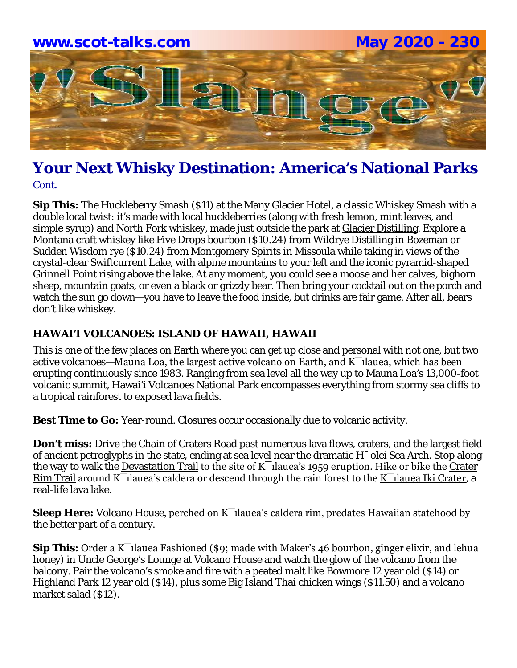

**Sip This:** The Huckleberry Smash (\$11) at the Many Glacier Hotel, a classic Whiskey Smash with a double local twist: it's made with local huckleberries (along with fresh lemon, mint leaves, and simple syrup) and North Fork whiskey, made just outside the park at Glacier Distilling. Explore a Montana craft whiskey like Five Drops bourbon (\$10.24) from Wildrye Distilling in Bozeman or Sudden Wisdom rye (\$10.24) from Montgomery Spirits in Missoula while taking in views of the crystal-clear Swiftcurrent Lake, with alpine mountains to your left and the iconic pyramid-shaped Grinnell Point rising above the lake. At any moment, you could see a moose and her calves, bighorn sheep, mountain goats, or even a black or grizzly bear. Then bring your cocktail out on the porch and watch the sun go down—you have to leave the food inside, but drinks are fair game. After all, bears don't like whiskey.

#### **HAWAI'I VOLCANOES: ISLAND OF HAWAII, HAWAII**

This is one of the few places on Earth where you can get up close and personal with not one, but two active volcanoes—Mauna Loa, the largest active volcano on Earth, and  $K$ <sup>-</sup>ilauea, which has been erupting continuously since 1983. Ranging from sea level all the way up to Mauna Loa's 13,000-foot volcanic summit, Hawai'i Volcanoes National Park encompasses everything from stormy sea cliffs to a tropical rainforest to exposed lava fields.

**Best Time to Go:** Year-round. Closures occur occasionally due to volcanic activity.

**Don't miss:** Drive the Chain of Craters Road past numerous lava flows, craters, and the largest field of ancient petroglyphs in the state, ending at sea level near the dramatic H¯olei Sea Arch. Stop along the way to walk the Devastation Trail to the site of K $\overline{\phantom{a}}$ lauea's 1959 eruption. Hike or bike the Crater Rim Trail around K $\overline{\phantom{a}}$ lauea's caldera or descend through the rain forest to the K $\overline{\phantom{a}}$ lauea Iki Crater, a real-life lava lake.

**Sleep Here:** Volcano House, perched on K<sup>-</sup>Ilauea's caldera rim, predates Hawaiian statehood by the better part of a century.

**Sip This:** Order a K¯ılauea Fashioned (\$9; made with Maker's 46 bourbon, ginger elixir, and lehua honey) in Uncle George's Lounge at Volcano House and watch the glow of the volcano from the balcony. Pair the volcano's smoke and fire with a peated malt like Bowmore 12 year old (\$14) or Highland Park 12 year old (\$14), plus some Big Island Thai chicken wings (\$11.50) and a volcano market salad (\$12).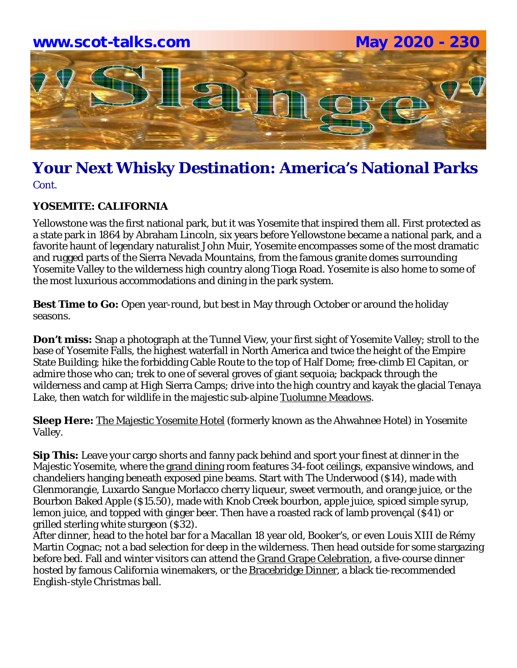

#### **YOSEMITE: CALIFORNIA**

Yellowstone was the first national park, but it was Yosemite that inspired them all. First protected as a state park in 1864 by Abraham Lincoln, six years before Yellowstone became a national park, and a favorite haunt of legendary naturalist John Muir, Yosemite encompasses some of the most dramatic and rugged parts of the Sierra Nevada Mountains, from the famous granite domes surrounding Yosemite Valley to the wilderness high country along Tioga Road. Yosemite is also home to some of the most luxurious accommodations and dining in the park system.

**Best Time to Go:** Open year-round, but best in May through October or around the holiday seasons.

**Don't miss:** Snap a photograph at the Tunnel View, your first sight of Yosemite Valley; stroll to the base of Yosemite Falls, the highest waterfall in North America and twice the height of the Empire State Building; hike the forbidding Cable Route to the top of Half Dome; free-climb El Capitan, or admire those who can; trek to one of several groves of giant sequoia; backpack through the wilderness and camp at High Sierra Camps; drive into the high country and kayak the glacial Tenaya Lake, then watch for wildlife in the majestic sub-alpine Tuolumne Meadows.

**Sleep Here:** The Majestic Yosemite Hotel (formerly known as the Ahwahnee Hotel) in Yosemite Valley.

**Sip This:** Leave your cargo shorts and fanny pack behind and sport your finest at dinner in the Majestic Yosemite, where the grand dining room features 34-foot ceilings, expansive windows, and chandeliers hanging beneath exposed pine beams. Start with The Underwood (\$14), made with Glenmorangie, Luxardo Sangue Morlacco cherry liqueur, sweet vermouth, and orange juice, or the Bourbon Baked Apple (\$15.50), made with Knob Creek bourbon, apple juice, spiced simple syrup, lemon juice, and topped with ginger beer. Then have a roasted rack of lamb provençal (\$41) or grilled sterling white sturgeon (\$32).

After dinner, head to the hotel bar for a Macallan 18 year old, Booker's, or even Louis XIII de Rémy Martin Cognac; not a bad selection for deep in the wilderness. Then head outside for some stargazing before bed. Fall and winter visitors can attend the Grand Grape Celebration, a five-course dinner hosted by famous California winemakers, or the **Bracebridge Dinner**, a black tie-recommended English-style Christmas ball.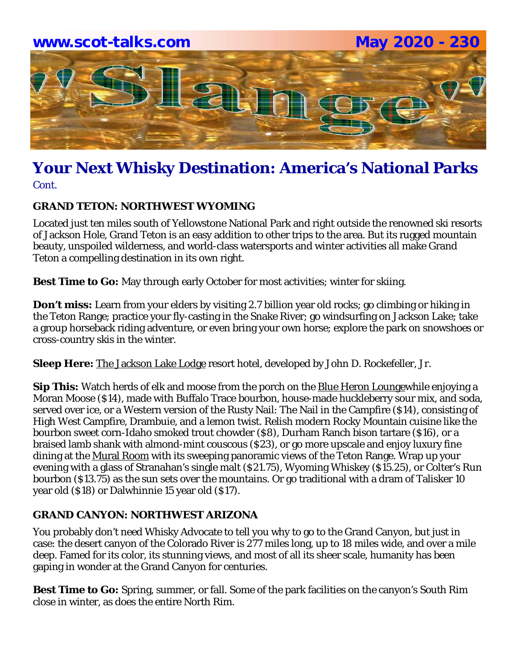

Cont.

#### **GRAND TETON: NORTHWEST WYOMING**

Located just ten miles south of Yellowstone National Park and right outside the renowned ski resorts of Jackson Hole, Grand Teton is an easy addition to other trips to the area. But its rugged mountain beauty, unspoiled wilderness, and world-class watersports and winter activities all make Grand Teton a compelling destination in its own right.

**Best Time to Go:** May through early October for most activities; winter for skiing.

**Don't miss:** Learn from your elders by visiting 2.7 billion year old rocks; go climbing or hiking in the Teton Range; practice your fly-casting in the Snake River; go windsurfing on Jackson Lake; take a group horseback riding adventure, or even bring your own horse; explore the park on snowshoes or cross-country skis in the winter.

**Sleep Here:** The Jackson Lake Lodge resort hotel, developed by John D. Rockefeller, Jr.

**Sip This:** Watch herds of elk and moose from the porch on the Blue Heron Loungewhile enjoying a Moran Moose (\$14), made with Buffalo Trace bourbon, house-made huckleberry sour mix, and soda, served over ice, or a Western version of the Rusty Nail: The Nail in the Campfire (\$14), consisting of High West Campfire, Drambuie, and a lemon twist. Relish modern Rocky Mountain cuisine like the bourbon sweet corn-Idaho smoked trout chowder (\$8), Durham Ranch bison tartare (\$16), or a braised lamb shank with almond-mint couscous (\$23), or go more upscale and enjoy luxury fine dining at the Mural Room with its sweeping panoramic views of the Teton Range. Wrap up your evening with a glass of Stranahan's single malt (\$21.75), Wyoming Whiskey (\$15.25), or Colter's Run bourbon (\$13.75) as the sun sets over the mountains. Or go traditional with a dram of Talisker 10 year old (\$18) or Dalwhinnie 15 year old (\$17).

#### **GRAND CANYON: NORTHWEST ARIZONA**

You probably don't need Whisky Advocate to tell you why to go to the Grand Canyon, but just in case: the desert canyon of the Colorado River is 277 miles long, up to 18 miles wide, and over a mile deep. Famed for its color, its stunning views, and most of all its sheer scale, humanity has been gaping in wonder at the Grand Canyon for centuries.

**Best Time to Go:** Spring, summer, or fall. Some of the park facilities on the canyon's South Rim close in winter, as does the entire North Rim.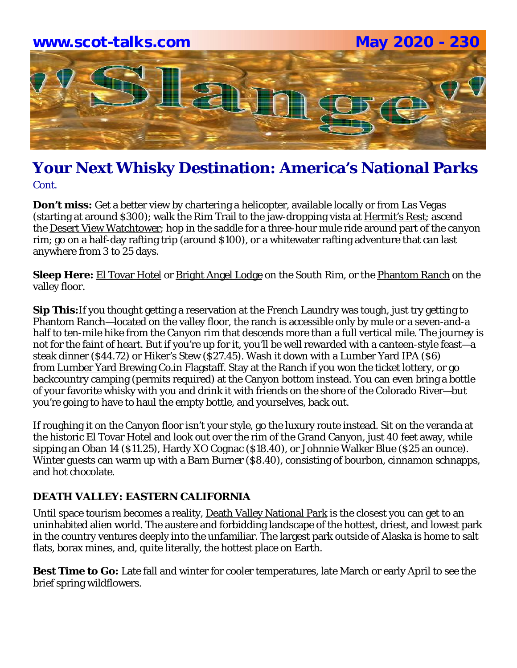

**Don't miss:** Get a better view by chartering a helicopter, available locally or from Las Vegas (starting at around \$300); walk the Rim Trail to the jaw-dropping vista at Hermit's Rest; ascend the Desert View Watchtower; hop in the saddle for a three-hour mule ride around part of the canyon rim; go on a half-day rafting trip (around \$100), or a whitewater rafting adventure that can last anywhere from 3 to 25 days.

**Sleep Here:** El Tovar Hotel or Bright Angel Lodge on the South Rim, or the Phantom Ranch on the valley floor.

**Sip This:**If you thought getting a reservation at the French Laundry was tough, just try getting to Phantom Ranch—located on the valley floor, the ranch is accessible only by mule or a seven-and-a half to ten-mile hike from the Canyon rim that descends more than a full vertical mile. The journey is not for the faint of heart. But if you're up for it, you'll be well rewarded with a canteen-style feast—a steak dinner (\$44.72) or Hiker's Stew (\$27.45). Wash it down with a Lumber Yard IPA (\$6) from Lumber Yard Brewing Co.in Flagstaff. Stay at the Ranch if you won the ticket lottery, or go backcountry camping (permits required) at the Canyon bottom instead. You can even bring a bottle of your favorite whisky with you and drink it with friends on the shore of the Colorado River—but you're going to have to haul the empty bottle, and yourselves, back out.

If roughing it on the Canyon floor isn't your style, go the luxury route instead. Sit on the veranda at the historic El Tovar Hotel and look out over the rim of the Grand Canyon, just 40 feet away, while sipping an Oban 14 (\$11.25), Hardy XO Cognac (\$18.40), or Johnnie Walker Blue (\$25 an ounce). Winter guests can warm up with a Barn Burner (\$8.40), consisting of bourbon, cinnamon schnapps, and hot chocolate.

#### **DEATH VALLEY: EASTERN CALIFORNIA**

Until space tourism becomes a reality, Death Valley National Park is the closest you can get to an uninhabited alien world. The austere and forbidding landscape of the hottest, driest, and lowest park in the country ventures deeply into the unfamiliar. The largest park outside of Alaska is home to salt flats, borax mines, and, quite literally, the hottest place on Earth.

**Best Time to Go:** Late fall and winter for cooler temperatures, late March or early April to see the brief spring wildflowers.